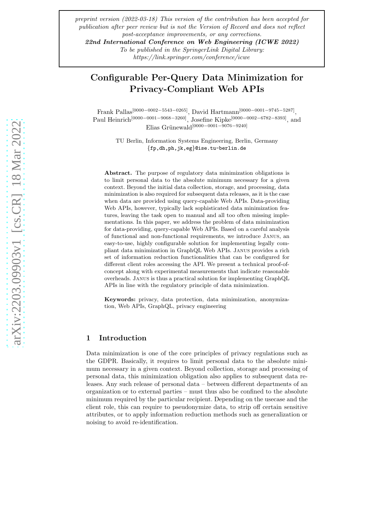*preprint version (2022-03-18) This version of the contribution has been accepted for publication after peer review but is not the Version of Record and does not reflect post-acceptance improvements, or any corrections.*

22nd International Conference on Web Engineering (ICWE 2022) *To be published in the SpringerLink Digital Library:*

*https://link.springer.com/conference/icwe*

# Configurable Per-Query Data Minimization for Privacy-Compliant Web APIs

Frank Pallas[0000−0002−5543−0265], David Hartmann[0000−0001−9745−5287] , Paul Heinrich[0000−0001−9068−3260], Josefine Kipke[0000−0002−6782−8393], and Elias Grünewald<sup>[0000–0001–9076–9240]</sup>

> TU Berlin, Information Systems Engineering, Berlin, Germany {fp,dh,ph,jk,eg}@ise.tu-berlin.de

Abstract. The purpose of regulatory data minimization obligations is to limit personal data to the absolute minimum necessary for a given context. Beyond the initial data collection, storage, and processing, data minimization is also required for subsequent data releases, as it is the case when data are provided using query-capable Web APIs. Data-providing Web APIs, however, typically lack sophisticated data minimization features, leaving the task open to manual and all too often missing implementations. In this paper, we address the problem of data minimization for data-providing, query-capable Web APIs. Based on a careful analysis of functional and non-functional requirements, we introduce Janus, an easy-to-use, highly configurable solution for implementing legally compliant data minimization in GraphQL Web APIs. Janus provides a rich set of information reduction functionalities that can be configured for different client roles accessing the API. We present a technical proof-ofconcept along with experimental measurements that indicate reasonable overheads. Janus is thus a practical solution for implementing GraphQL APIs in line with the regulatory principle of data minimization.

Keywords: privacy, data protection, data minimization, anonymization, Web APIs, GraphQL, privacy engineering

# 1 Introduction

Data minimization is one of the core principles of privacy regulations such as the GDPR. Basically, it requires to limit personal data to the absolute minimum necessary in a given context. Beyond collection, storage and processing of personal data, this minimization obligation also applies to subsequent data releases. Any such release of personal data – between different departments of an organization or to external parties – must thus also be confined to the absolute minimum required by the particular recipient. Depending on the usecase and the client role, this can require to pseudonymize data, to strip off certain sensitive attributes, or to apply information reduction methods such as generalization or noising to avoid re-identification.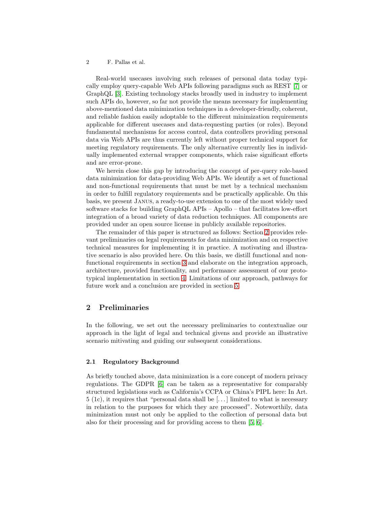Real-world usecases involving such releases of personal data today typically employ query-capable Web APIs following paradigms such as REST [\[7\]](#page-14-0) or GraphQL [\[3\]](#page-13-0). Existing technology stacks broadly used in industry to implement such APIs do, however, so far not provide the means necessary for implementing above-mentioned data minimization techniques in a developer-friendly, coherent, and reliable fashion easily adoptable to the different minimization requirements applicable for different usecases and data-requesting parties (or roles). Beyond fundamental mechanisms for access control, data controllers providing personal data via Web APIs are thus currently left without proper technical support for meeting regulatory requirements. The only alternative currently lies in individually implemented external wrapper components, which raise significant efforts and are error-prone.

We herein close this gap by introducing the concept of per-query role-based data minimization for data-providing Web APIs. We identify a set of functional and non-functional requirements that must be met by a technical mechanism in order to fulfill regulatory requirements and be practically applicable. On this basis, we present Janus, a ready-to-use extension to one of the most widely used software stacks for building GraphQL APIs – Apollo – that facilitates low-effort integration of a broad variety of data reduction techniques. All components are provided under an open source license in publicly available repositories.

The remainder of this paper is structured as follows: Section [2](#page-1-0) provides relevant preliminaries on legal requirements for data minimization and on respective technical measures for implementing it in practice. A motivating and illustrative scenario is also provided here. On this basis, we distill functional and nonfunctional requirements in section [3](#page-4-0) and elaborate on the integration approach, architecture, provided functionality, and performance assessment of our prototypical implementation in section [4.](#page-6-0) Limitations of our approach, pathways for future work and a conclusion are provided in section [5.](#page-12-0)

# <span id="page-1-0"></span>2 Preliminaries

In the following, we set out the necessary preliminaries to contextualize our approach in the light of legal and technical givens and provide an illustrative scenario mitivating and guiding our subsequent considerations.

## 2.1 Regulatory Background

As briefly touched above, data minimization is a core concept of modern privacy regulations. The GDPR [\[6\]](#page-14-1) can be taken as a representative for comparably structured legislations such as California's CCPA or China's PIPL here: In Art.  $5$  (1c), it requires that "personal data shall be  $\left[\ldots\right]$  limited to what is necessary in relation to the purposes for which they are processed". Noteworthily, data minimization must not only be applied to the collection of personal data but also for their processing and for providing access to them [\[5,](#page-14-2) [6\]](#page-14-1).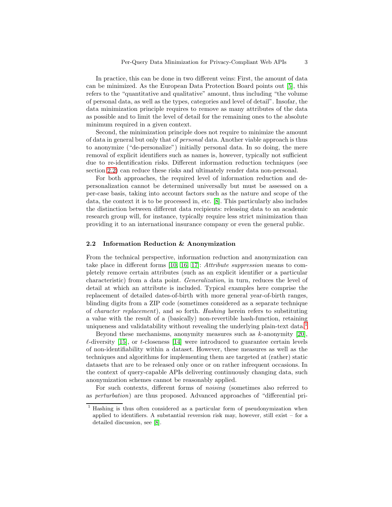In practice, this can be done in two different veins: First, the amount of data can be minimized. As the European Data Protection Board points out [\[5\]](#page-14-2), this refers to the "quantitative and qualitative" amount, thus including "the volume of personal data, as well as the types, categories and level of detail". Insofar, the data minimization principle requires to remove as many attributes of the data as possible and to limit the level of detail for the remaining ones to the absolute minimum required in a given context.

Second, the minimization principle does not require to minimize the amount of data in general but only that of *personal* data. Another viable approach is thus to anonymize ("de-personalize") initially personal data. In so doing, the mere removal of explicit identifiers such as names is, however, typically not sufficient due to re-identification risks. Different information reduction techniques (see section [2.2\)](#page-2-0) can reduce these risks and ultimately render data non-personal.

For both approaches, the required level of information reduction and depersonalization cannot be determined universally but must be assessed on a per-case basis, taking into account factors such as the nature and scope of the data, the context it is to be processed in, etc. [\[8\]](#page-14-3). This particularly also includes the distinction between different data recipients: releasing data to an academic research group will, for instance, typically require less strict minimization than providing it to an international insurance company or even the general public.

#### <span id="page-2-0"></span>2.2 Information Reduction & Anonymization

From the technical perspective, information reduction and anonymization can take place in different forms [\[10,](#page-14-4) [16,](#page-14-5) [17\]](#page-14-6): *Attribute suppression* means to completely remove certain attributes (such as an explicit identifier or a particular characteristic) from a data point. *Generalization*, in turn, reduces the level of detail at which an attribute is included. Typical examples here comprise the replacement of detailed dates-of-birth with more general year-of-birth ranges, blinding digits from a ZIP code (sometimes considered as a separate technique of *character replacement*), and so forth. *Hashing* herein refers to substituting a value with the result of a (basically) non-revertible hash-function, retaining uniqueness and validatability without revealing the underlying plain-text data.<sup>[1](#page-2-1)</sup>

Beyond these mechanisms, anonymity measures such as  $k$ -anonymity [\[20\]](#page-14-7),  $\ell$ -diversity [\[15\]](#page-14-8), or *t*-closeness [\[14\]](#page-14-9) were introduced to guarantee certain levels of non-identifiability within a dataset. However, these measures as well as the techniques and algorithms for implementing them are targeted at (rather) static datasets that are to be released only once or on rather infrequent occasions. In the context of query-capable APIs delivering continuously changing data, such anonymization schemes cannot be reasonably applied.

For such contexts, different forms of *noising* (sometimes also referred to as *perturbation*) are thus proposed. Advanced approaches of "differential pri-

<span id="page-2-1"></span><sup>&</sup>lt;sup>1</sup> Hashing is thus often considered as a particular form of pseudonymization when applied to identifiers. A substantial reversion risk may, however, still exist  $-$  for a detailed discussion, see [\[8\]](#page-14-3).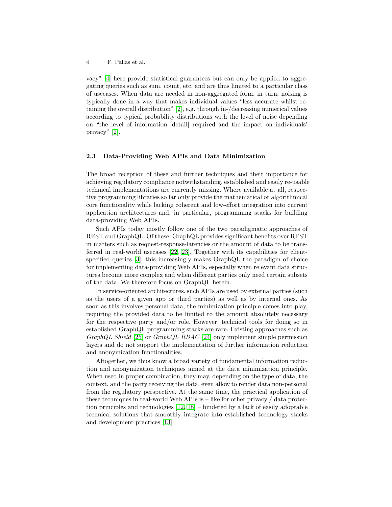vacy" [\[4\]](#page-13-1) here provide statistical guarantees but can only be applied to aggregating queries such as sum, count, etc. and are thus limited to a particular class of usecases. When data are needed in non-aggregated form, in turn, noising is typically done in a way that makes individual values "less accurate whilst retaining the overall distribution" [\[2\]](#page-13-2), e.g. through in-/decreasing numerical values according to typical probability distributions with the level of noise depending on "the level of information [detail] required and the impact on individuals' privacy" [\[2\]](#page-13-2).

#### 2.3 Data-Providing Web APIs and Data Minimization

The broad reception of these and further techniques and their importance for achieving regulatory compliance notwithstanding, established and easily re-usable technical implementations are currently missing. Where available at all, respective programming libraries so far only provide the mathematical or algorithmical core functionality while lacking coherent and low-effort integration into current application architectures and, in particular, programming stacks for building data-providing Web APIs.

Such APIs today mostly follow one of the two paradigmatic approaches of REST and GraphQL. Of these, GraphQL provides significant benefits over REST in matters such as request-response-latencies or the amount of data to be transferred in real-world usecases [\[22,](#page-15-0) [23\]](#page-15-1). Together with its capabilities for clientspecified queries [\[3\]](#page-13-0), this increasingly makes GraphQL the paradigm of choice for implementing data-providing Web APIs, especially when relevant data structures become more complex and when different parties only need certain subsets of the data. We therefore focus on GraphQL herein.

In service-oriented architectures, such APIs are used by external parties (such as the users of a given app or third parties) as well as by internal ones. As soon as this involves personal data, the minimization principle comes into play, requiring the provided data to be limited to the amount absolutely necessary for the respective party and/or role. However, technical tools for doing so in established GraphQL programming stacks are rare. Existing approaches such as *GraphQL Shield* [\[25\]](#page-15-2) or *GraphQL RBAC* [\[24\]](#page-15-3) only implement simple permission layers and do not support the implementation of further information reduction and anonymization functionalities.

Altogether, we thus know a broad variety of fundamental information reduction and anonymization techniques aimed at the data minimization principle. When used in proper combination, they may, depending on the type of data, the context, and the party receiving the data, even allow to render data non-personal from the regulatory perspective. At the same time, the practical application of these techniques in real-world Web APIs is – like for other privacy / data protection principles and technologies [\[12,](#page-14-10) [18\]](#page-14-11) – hindered by a lack of easily adoptable technical solutions that smoothly integrate into established technology stacks and development practices [\[13\]](#page-14-12).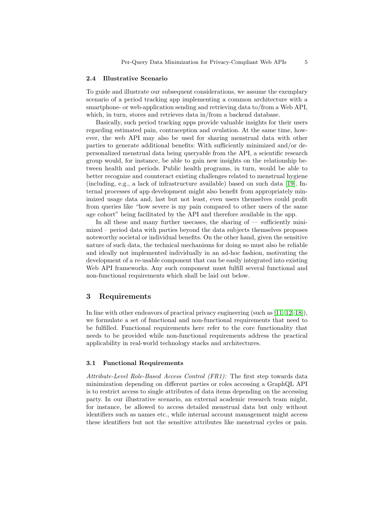#### <span id="page-4-1"></span>2.4 Illustrative Scenario

To guide and illustrate our subsequent considerations, we assume the exemplary scenario of a period tracking app implementing a common architecture with a smartphone- or web-application sending and retrieving data to/from a Web API, which, in turn, stores and retrieves data in/from a backend database.

Basically, such period tracking apps provide valuable insights for their users regarding estimated pain, contraception and ovulation. At the same time, however, the web API may also be used for sharing menstrual data with other parties to generate additional benefits: With sufficiently minimized and/or depersonalized menstrual data being queryable from the API, a scientific research group would, for instance, be able to gain new insights on the relationship between health and periods. Public health programs, in turn, would be able to better recognize and counteract existing challenges related to menstrual hygiene (including, e.g., a lack of infrastructure available) based on such data [\[19\]](#page-14-13). Internal processes of app development might also benefit from appropriately minimized usage data and, last but not least, even users themselves could profit from queries like "how severe is my pain compared to other users of the same age cohort" being facilitated by the API and therefore available in the app.

In all these and many further usecases, the sharing of — sufficiently minimized – period data with parties beyond the data subjects themselves proposes noteworthy societal or individual benefits. On the other hand, given the sensitive nature of such data, the technical mechanisms for doing so must also be reliable and ideally not implemented individually in an ad-hoc fashion, motivating the development of a re-usable component that can be easily integrated into existing Web API frameworks. Any such component must fulfill several functional and non-functional requirements which shall be laid out below.

# <span id="page-4-0"></span>3 Requirements

In line with other endeavors of practical privacy engineering (such as [\[11,](#page-14-14) [12,](#page-14-10) [18\]](#page-14-11)), we formulate a set of functional and non-functional requirements that need to be fulfilled. Functional requirements here refer to the core functionality that needs to be provided while non-functional requirements address the practical applicability in real-world technology stacks and architectures.

#### 3.1 Functional Requirements

*Attribute-Level Role-Based Access Control (FR1):* The first step towards data minimization depending on different parties or roles accessing a GraphQL API is to restrict access to single attributes of data items depending on the accessing party. In our illustrative scenario, an external academic research team might, for instance, be allowed to access detailed menstrual data but only without identifiers such as names etc., while internal account management might access these identifiers but not the sensitive attributes like menstrual cycles or pain.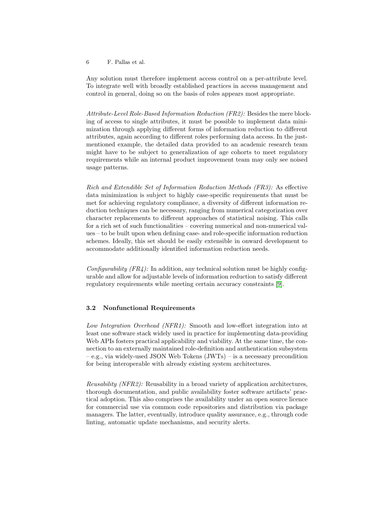Any solution must therefore implement access control on a per-attribute level. To integrate well with broadly established practices in access management and control in general, doing so on the basis of roles appears most appropriate.

*Attribute-Level Role-Based Information Reduction (FR2):* Besides the mere blocking of access to single attributes, it must be possible to implement data minimization through applying different forms of information reduction to different attributes, again according to different roles performing data access. In the justmentioned example, the detailed data provided to an academic research team might have to be subject to generalization of age cohorts to meet regulatory requirements while an internal product improvement team may only see noised usage patterns.

*Rich and Extendible Set of Information Reduction Methods (FR3):* As effective data minimization is subject to highly case-specific requirements that must be met for achieving regulatory compliance, a diversity of different information reduction techniques can be necessary, ranging from numerical categorization over character replacements to different approaches of statistical noising. This calls for a rich set of such functionalities – covering numerical and non-numerical values – to be built upon when defining case- and role-specific information reduction schemes. Ideally, this set should be easily extensible in onward development to accommodate additionally identified information reduction needs.

*Configurability (FR4):* In addition, any technical solution must be highly configurable and allow for adjustable levels of information reduction to satisfy different regulatory requirements while meeting certain accuracy constraints [\[9\]](#page-14-15).

# 3.2 Nonfunctional Requirements

*Low Integration Overhead (NFR1):* Smooth and low-effort integration into at least one software stack widely used in practice for implementing data-providing Web APIs fosters practical applicability and viability. At the same time, the connection to an externally maintained role-definition and authentication subsystem – e.g., via widely-used JSON Web Tokens (JWTs) – is a necessary precondition for being interoperable with already existing system architectures.

*Reusability (NFR2):* Reusability in a broad variety of application architectures, thorough documentation, and public availability foster software artifacts' practical adoption. This also comprises the availability under an open source licence for commercial use via common code repositories and distribution via package managers. The latter, eventually, introduce quality assurance, e.g., through code linting, automatic update mechanisms, and security alerts.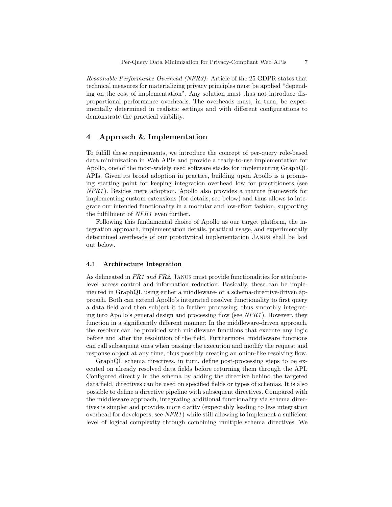*Reasonable Performance Overhead (NFR3):* Article of the 25 GDPR states that technical measures for materializing privacy principles must be applied "depending on the cost of implementation". Any solution must thus not introduce disproportional performance overheads. The overheads must, in turn, be experimentally determined in realistic settings and with different configurations to demonstrate the practical viability.

# <span id="page-6-0"></span>4 Approach & Implementation

To fulfill these requirements, we introduce the concept of per-query role-based data minimization in Web APIs and provide a ready-to-use implementation for Apollo, one of the most-widely used software stacks for implementing GraphQL APIs. Given its broad adoption in practice, building upon Apollo is a promising starting point for keeping integration overhead low for practitioners (see *NFR1*). Besides mere adoption, Apollo also provides a mature framework for implementing custom extensions (for details, see below) and thus allows to integrate our intended functionality in a modular and low-effort fashion, supporting the fulfillment of *NFR1* even further.

Following this fundamental choice of Apollo as our target platform, the integration approach, implementation details, practical usage, and experimentally determined overheads of our prototypical implementation Janus shall be laid out below.

### 4.1 Architecture Integration

As delineated in *FR1 and FR2*, Janus must provide functionalities for attributelevel access control and information reduction. Basically, these can be implemented in GraphQL using either a middleware- or a schema-directive-driven approach. Both can extend Apollo's integrated resolver functionality to first query a data field and then subject it to further processing, thus smoothly integrating into Apollo's general design and processing flow (see *NFR1*). However, they function in a significantly different manner: In the middleware-driven approach, the resolver can be provided with middleware functions that execute any logic before and after the resolution of the field. Furthermore, middleware functions can call subsequent ones when passing the execution and modify the request and response object at any time, thus possibly creating an onion-like resolving flow.

GraphQL schema directives, in turn, define post-processing steps to be executed on already resolved data fields before returning them through the API. Configured directly in the schema by adding the directive behind the targeted data field, directives can be used on specified fields or types of schemas. It is also possible to define a directive pipeline with subsequent directives. Compared with the middleware approach, integrating additional functionality via schema directives is simpler and provides more clarity (expectably leading to less integration overhead for developers, see *NFR1*) while still allowing to implement a sufficient level of logical complexity through combining multiple schema directives. We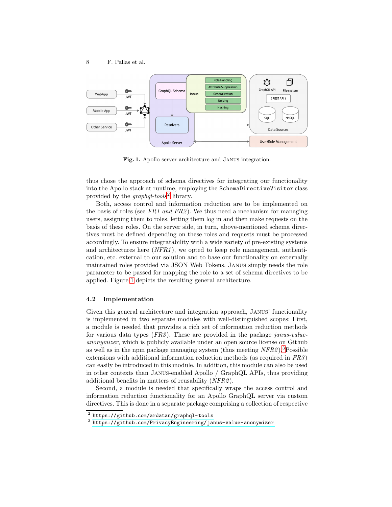

<span id="page-7-1"></span>Fig. 1. Apollo server architecture and Janus integration.

thus chose the approach of schema directives for integrating our functionality into the Apollo stack at runtime, employing the SchemaDirectiveVisitor class provided by the *graphql-tools*[2](#page-7-0) library.

Both, access control and information reduction are to be implemented on the basis of roles (see *FR1 and FR2*). We thus need a mechanism for managing users, assigning them to roles, letting them log in and then make requests on the basis of these roles. On the server side, in turn, above-mentioned schema directives must be defined depending on these roles and requests must be processed accordingly. To ensure integratability with a wide variety of pre-existing systems and architectures here (*NFR1*), we opted to keep role management, authentication, etc. external to our solution and to base our functionality on externally maintained roles provided via JSON Web Tokens. Janus simply needs the role parameter to be passed for mapping the role to a set of schema directives to be applied. Figure [1](#page-7-1) depicts the resulting general architecture.

## 4.2 Implementation

Given this general architecture and integration approach, Janus' functionality is implemented in two separate modules with well-distinguished scopes: First, a module is needed that provides a rich set of information reduction methods for various data types (*FR3*). These are provided in the package *janus-valueanonymizer*, which is publicly available under an open source license on Github as well as in the npm package managing system (thus meeting *NFR2*).[3](#page-7-2)Possible extensions with additional information reduction methods (as required in *FR3*) can easily be introduced in this module. In addition, this module can also be used in other contexts than Janus-enabled Apollo / GraphQL APIs, thus providing additional benefits in matters of reusability (*NFR2*).

Second, a module is needed that specifically wraps the access control and information reduction functionality for an Apollo GraphQL server via custom directives. This is done in a separate package comprising a collection of respective

 $^{2}$  <https://github.com/ardatan/graphql-tools>

<span id="page-7-2"></span><span id="page-7-0"></span><sup>3</sup> <https://github.com/PrivacyEngineering/janus-value-anonymizer>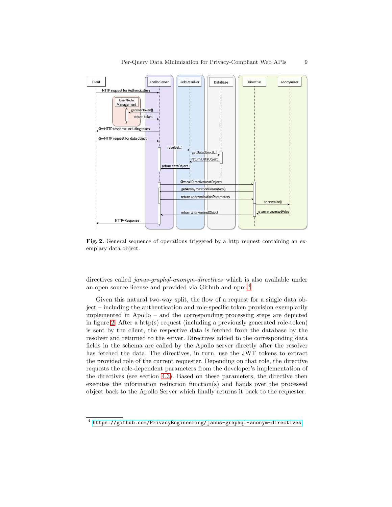

<span id="page-8-1"></span>Fig. 2. General sequence of operations triggered by a http request containing an exemplary data object.

directives called *janus-graphql-anonym-directives* which is also available under an open source license and provided via Github and npm.[4](#page-8-0)

Given this natural two-way split, the flow of a request for a single data object – including the authentication and role-specific token provision exemplarily implemented in Apollo – and the corresponding processing steps are depicted in figure [2:](#page-8-1) After a http(s) request (including a previously generated role-token) is sent by the client, the respective data is fetched from the database by the resolver and returned to the server. Directives added to the corresponding data fields in the schema are called by the Apollo server directly after the resolver has fetched the data. The directives, in turn, use the JWT tokens to extract the provided role of the current requester. Depending on that role, the directive requests the role-dependent parameters from the developer's implementation of the directives (see section [4.3\)](#page-9-0). Based on these parameters, the directive then executes the information reduction function(s) and hands over the processed object back to the Apollo Server which finally returns it back to the requester.

<span id="page-8-0"></span><sup>4</sup> <https://github.com/PrivacyEngineering/janus-graphql-anonym-directives>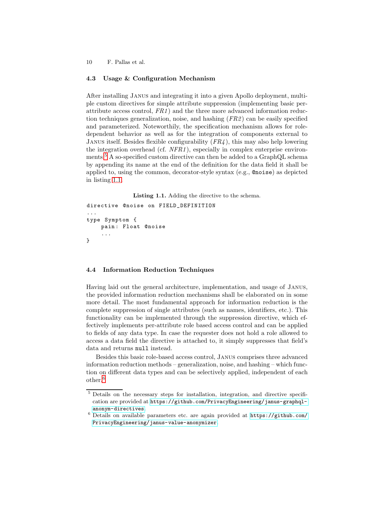# <span id="page-9-0"></span>4.3 Usage & Configuration Mechanism

After installing Janus and integrating it into a given Apollo deployment, multiple custom directives for simple attribute suppression (implementing basic perattribute access control, *FR1*) and the three more advanced information reduction techniques generalization, noise, and hashing (*FR2*) can be easily specified and parameterized. Noteworthily, the specification mechanism allows for roledependent behavior as well as for the integration of components external to Janus itself. Besides flexible configurability (*FR4*), this may also help lowering the integration overhead (cf. *NFR1*), especially in complex enterprise environments.[5](#page-9-1) A so-specified custom directive can then be added to a GraphQL schema by appending its name at the end of the definition for the data field it shall be applied to, using the common, decorator-style syntax (e.g., @noise) as depicted in listing [1.1.](#page-9-2)

Listing 1.1. Adding the directive to the schema.

```
directive @noise on FIELD_DEFINITION
...
type Symptom {
    pain : Float @noise
    ...
}
```
#### 4.4 Information Reduction Techniques

Having laid out the general architecture, implementation, and usage of Janus, the provided information reduction mechanisms shall be elaborated on in some more detail. The most fundamental approach for information reduction is the complete suppression of single attributes (such as names, identifiers, etc.). This functionality can be implemented through the suppression directive, which effectively implements per-attribute role based access control and can be applied to fields of any data type. In case the requester does not hold a role allowed to access a data field the directive is attached to, it simply suppresses that field's data and returns null instead.

Besides this basic role-based access control, Janus comprises three advanced information reduction methods – generalization, noise, and hashing – which function on different data types and can be selectively applied, independent of each other.[6](#page-9-3)

<span id="page-9-1"></span><sup>&</sup>lt;sup>5</sup> Details on the necessary steps for installation, integration, and directive specification are provided at [https://github.com/PrivacyEngineering/janus-graphql](https://github.com/PrivacyEngineering/janus-graphql-anonym-directives)[anonym-directives](https://github.com/PrivacyEngineering/janus-graphql-anonym-directives).

<span id="page-9-3"></span> $6$  Details on available parameters etc. are again provided at  $https://github.com/$ [PrivacyEngineering/janus-value-anonymizer](https://github.com/PrivacyEngineering/janus-value-anonymizer).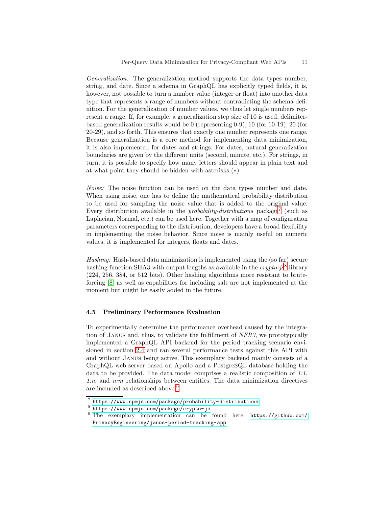*Generalization:* The generalization method supports the data types number, string, and date. Since a schema in GraphQL has explicitly typed fields, it is, however, not possible to turn a number value (integer or float) into another data type that represents a range of numbers without contradicting the schema definition. For the generalization of number values, we thus let single numbers represent a range. If, for example, a generalization step size of 10 is used, delimiterbased generalization results would be 0 (representing 0-9), 10 (for 10-19), 20 (for 20-29), and so forth. This ensures that exactly one number represents one range. Because generalization is a core method for implementing data minimization, it is also implemented for dates and strings. For dates, natural generalization boundaries are given by the different units (second, minute, etc.). For strings, in turn, it is possible to specify how many letters should appear in plain text and at what point they should be hidden with asterisks (∗).

*Noise:* The noise function can be used on the data types number and date. When using noise, one has to define the mathematical probability distribution to be used for sampling the noise value that is added to the original value. Every distribution available in the *probability-distributions* package<sup>[7](#page-10-0)</sup> (such as Laplacian, Normal, etc.) can be used here. Together with a map of configuration parameters corresponding to the distribution, developers have a broad flexibility in implementing the noise behavior. Since noise is mainly useful on numeric values, it is implemented for integers, floats and dates.

*Hashing:* Hash-based data minimization is implemented using the (so far) secure hashing function SHA3 with output lengths as available in the *crypto-js*[8](#page-10-1) library (224, 256, 384, or 512 bits). Other hashing algorithms more resistant to bruteforcing [\[8\]](#page-14-3) as well as capabilities for including salt are not implemented at the moment but might be easily added in the future.

#### <span id="page-10-3"></span>4.5 Preliminary Performance Evaluation

To experimentally determine the performance overhead caused by the integration of Janus and, thus, to validate the fulfillment of *NFR3*, we prototypically implemented a GraphQL API backend for the period tracking scenario envisioned in section [2.4](#page-4-1) and ran several performance tests against this API with and without Janus being active. This exemplary backend mainly consists of a GraphQL web server based on Apollo and a PostgreSQL database holding the data to be provided. The data model comprises a realistic composition of *1:1*, *1:n*, and *n:m* relationships between entities. The data minimization directives are included as described above.<sup>[9](#page-10-2)</sup>

<sup>7</sup> <https://www.npmjs.com/package/probability-distributions>

<span id="page-10-0"></span><sup>8</sup> <https://www.npmjs.com/package/crypto-js>

<span id="page-10-2"></span><span id="page-10-1"></span><sup>&</sup>lt;sup>9</sup> The exemplary implementation can be found here: [https://github.com/](https://github.com/PrivacyEngineering/janus-period-tracking-app) [PrivacyEngineering/janus-period-tracking-app](https://github.com/PrivacyEngineering/janus-period-tracking-app)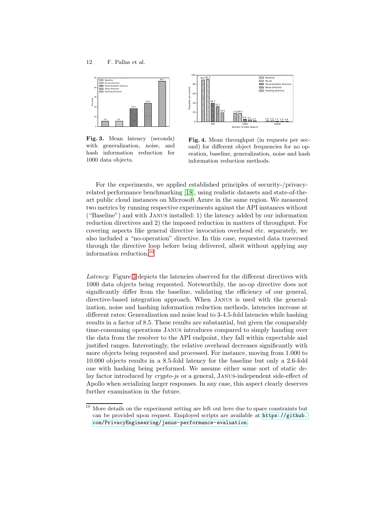

100 1000 10000 Number of Data Objects 0 20 40 60 Requests per second 18.1 2.0 19.4  $2.2$   $2.0$   $2.0$  1.2 1.0 0.8 17.6 2.0 32.1  $4.1$  2.2 2.0 2.0 1.2 1.0 39.7 5.4 1.2

<span id="page-11-1"></span>Fig. 3. Mean latency (seconds) with generalization, noise, and hash information reduction for 1000 data objects.

<span id="page-11-2"></span>Fig. 4. Mean throughput (in requests per second) for different object frequencies for no operation, baseline, generalization, noise and hash information reduction methods.

EXECUTE Baseline<br>
ISSN No. op<br>
ISSN Generalizati<br>
ISSN Noise direct . ... ..... .<br>ina directivi

For the experiments, we applied established principles of security-/privacyrelated performance benchmarking [\[18\]](#page-14-11), using realistic datasets and state-of-theart public cloud instances on Microsoft Azure in the same region. We measured two metrics by running respective experiments against the API instances without ("Baseline") and with Janus installed: 1) the latency added by our information reduction directives and 2) the imposed reduction in matters of throughput. For covering aspects like general directive invocation overhead etc. separately, we also included a "no-operation" directive. In this case, requested data traversed through the directive loop before being delivered, albeit without applying any information reduction.[10](#page-11-0)

80 100

91.3

89.3

*Latency:* Figure [3](#page-11-1) depicts the latencies observed for the different directives with 1000 data objects being requested. Noteworthily, the no-op directive does not significantly differ from the baseline, validating the efficiency of our general, directive-based integration approach. When Janus is used with the generalization, noise and hashing information reduction methods, latencies increase at different rates: Generalization and noise lead to 3-4.5-fold latencies while hashing results in a factor of 8.5. These results are substantial, but given the comparably time-consuming operations Janus introduces compared to simply handing over the data from the resolver to the API endpoint, they fall within expectable and justified ranges. Interestingly, the relative overhead decreases significantly with more objects being requested and processed. For instance, moving from 1.000 to 10.000 objects results in a 8.5-fold latency for the baseline but only a 2.6-fold one with hashing being performed. We assume either some sort of static delay factor introduced by *crypto-js* or a general, Janus-independent side-effect of Apollo when serializing larger responses. In any case, this aspect clearly deserves further examination in the future.

<span id="page-11-0"></span> $^{10}$  More details on the experiment setting are left out here due to space constraints but can be provided upon request. Employed scripts are available at [https://github.](https://github.com/PrivacyEngineering/janus-performance-evaluation) [com/PrivacyEngineering/janus-performance-evaluation](https://github.com/PrivacyEngineering/janus-performance-evaluation).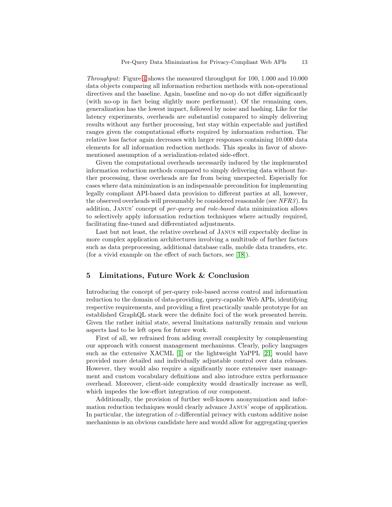*Throughput:* Figure [4](#page-11-2) shows the measured throughput for 100, 1.000 and 10.000 data objects comparing all information reduction methods with non-operational directives and the baseline. Again, baseline and no-op do not differ significantly (with no-op in fact being slightly more performant). Of the remaining ones, generalization has the lowest impact, followed by noise and hashing. Like for the latency experiments, overheads are substantial compared to simply delivering results without any further processing, but stay within expectable and justified ranges given the computational efforts required by information reduction. The relative loss factor again decreases with larger responses containing 10.000 data elements for all information reduction methods. This speaks in favor of abovementioned assumption of a serialization-related side-effect.

Given the computational overheads necessarily induced by the implemented information reduction methods compared to simply delivering data without further processing, these overheads are far from being unexpected. Especially for cases where data minimization is an indispensable precondition for implementing legally compliant API-based data provision to different parties at all, however, the observed overheads will presumably be considered reasonable (see *NFR3*). In addition, Janus' concept of *per-query and role-based* data minimization allows to selectively apply information reduction techniques where actually required, facilitating fine-tuned and differentiated adjustments.

Last but not least, the relative overhead of Janus will expectably decline in more complex application architectures involving a multitude of further factors such as data preprocessing, additional database calls, mobile data transfers, etc. (for a vivid example on the effect of such factors, see [\[18\]](#page-14-11)).

# <span id="page-12-0"></span>5 Limitations, Future Work & Conclusion

Introducing the concept of per-query role-based access control and information reduction to the domain of data-providing, query-capable Web APIs, identifying respective requirements, and providing a first practically usable prototype for an established GraphQL stack were the definite foci of the work presented herein. Given the rather initial state, several limitations naturally remain and various aspects had to be left open for future work.

First of all, we refrained from adding overall complexity by complementing our approach with consent management mechanisms. Clearly, policy languages such as the extensive XACML [\[1\]](#page-13-3) or the lightweight YaPPL [\[21\]](#page-15-4) would have provided more detailed and individually adjustable control over data releases. However, they would also require a significantly more extensive user management and custom vocabulary definitions and also introduce extra performance overhead. Moreover, client-side complexity would drastically increase as well, which impedes the low-effort integration of our component.

Additionally, the provision of further well-known anonymization and information reduction techniques would clearly advance Janus' scope of application. In particular, the integration of  $\varepsilon$ -differential privacy with custom additive noise mechanisms is an obvious candidate here and would allow for aggregating queries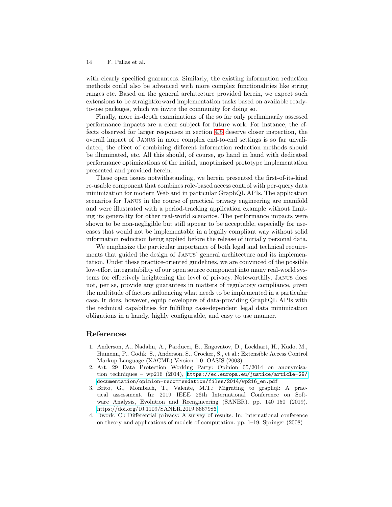with clearly specified guarantees. Similarly, the existing information reduction methods could also be advanced with more complex functionalities like string ranges etc. Based on the general architecture provided herein, we expect such extensions to be straightforward implementation tasks based on available readyto-use packages, which we invite the community for doing so.

Finally, more in-depth examinations of the so far only preliminarily assessed performance impacts are a clear subject for future work. For instance, the effects observed for larger responses in section [4.5](#page-10-3) deserve closer inspection, the overall impact of Janus in more complex end-to-end settings is so far unvalidated, the effect of combining different information reduction methods should be illuminated, etc. All this should, of course, go hand in hand with dedicated performance optimizations of the initial, unoptimized prototype implementation presented and provided herein.

These open issues notwithstanding, we herein presented the first-of-its-kind re-usable component that combines role-based access control with per-query data minimization for modern Web and in particular GraphQL APIs. The application scenarios for Janus in the course of practical privacy engineering are manifold and were illustrated with a period-tracking application example without limiting its generality for other real-world scenarios. The performance impacts were shown to be non-negligible but still appear to be acceptable, especially for usecases that would not be implementable in a legally compliant way without solid information reduction being applied before the release of initially personal data.

We emphasize the particular importance of both legal and technical requirements that guided the design of Janus' general architecture and its implementation. Under these practice-oriented guidelines, we are convinced of the possible low-effort integratability of our open source component into many real-world systems for effectively heightening the level of privacy. Noteworthily, Janus does not, per se, provide any guarantees in matters of regulatory compliance, given the multitude of factors influencing what needs to be implemented in a particular case. It does, however, equip developers of data-providing GraphQL APIs with the technical capabilities for fulfilling case-dependent legal data minimization obligations in a handy, highly configurable, and easy to use manner.

## <span id="page-13-3"></span>References

- 1. Anderson, A., Nadalin, A., Parducci, B., Engovatov, D., Lockhart, H., Kudo, M., Humenn, P., Godik, S., Anderson, S., Crocker, S., et al.: Extensible Access Control Markup Language (XACML) Version 1.0. OASIS (2003)
- <span id="page-13-2"></span>2. Art. 29 Data Protection Working Party: Opinion 05/2014 on anonymisation techniques – wp216 (2014), [https://ec.europa.eu/justice/article-29/](https://ec.europa.eu/justice/article-29/documentation/opinion-recommendation/files/2014/wp216_en.pdf) [documentation/opinion-recommendation/files/2014/wp216\\_en.pdf](https://ec.europa.eu/justice/article-29/documentation/opinion-recommendation/files/2014/wp216_en.pdf)
- <span id="page-13-0"></span>3. Brito, G., Mombach, T., Valente, M.T.: Migrating to graphql: A practical assessment. In: 2019 IEEE 26th International Conference on Software Analysis, Evolution and Reengineering (SANER). pp. 140–150 (2019). <https://doi.org/10.1109/SANER.2019.8667986>
- <span id="page-13-1"></span>4. Dwork, C.: Differential privacy: A survey of results. In: International conference on theory and applications of models of computation. pp. 1–19. Springer (2008)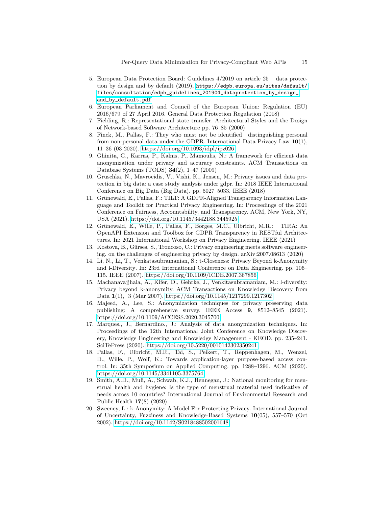- <span id="page-14-2"></span>5. European Data Protection Board: Guidelines 4/2019 on article 25 – data protection by design and by default (2019), [https://edpb.europa.eu/sites/default/](https://edpb.europa.eu/sites/default/files/consultation/edpb_guidelines_201904_dataprotection_by_design_and_by_default.pdf) [files/consultation/edpb\\_guidelines\\_201904\\_dataprotection\\_by\\_design\\_](https://edpb.europa.eu/sites/default/files/consultation/edpb_guidelines_201904_dataprotection_by_design_and_by_default.pdf) [and\\_by\\_default.pdf](https://edpb.europa.eu/sites/default/files/consultation/edpb_guidelines_201904_dataprotection_by_design_and_by_default.pdf)
- <span id="page-14-1"></span>6. European Parliament and Council of the European Union: Regulation (EU) 2016/679 of 27 April 2016. General Data Protection Regulation (2018)
- <span id="page-14-3"></span><span id="page-14-0"></span>7. Fielding, R.: Representational state transfer. Architectural Styles and the Design of Network-based Software Architecture pp. 76–85 (2000)
- 8. Finck, M., Pallas, F.: They who must not be identified—distinguishing personal from non-personal data under the GDPR. International Data Privacy Law  $10(1)$ , 11–36 (03 2020).<https://doi.org/10.1093/idpl/ipz026>
- <span id="page-14-15"></span>9. Ghinita, G., Karras, P., Kalnis, P., Mamoulis, N.: A framework for efficient data anonymization under privacy and accuracy constraints. ACM Transactions on Database Systems (TODS) 34(2), 1–47 (2009)
- <span id="page-14-4"></span>10. Gruschka, N., Mavroeidis, V., Vishi, K., Jensen, M.: Privacy issues and data protection in big data: a case study analysis under gdpr. In: 2018 IEEE International Conference on Big Data (Big Data). pp. 5027–5033. IEEE (2018)
- <span id="page-14-14"></span>11. Grünewald, E., Pallas, F.: TILT: A GDPR-Aligned Transparency Information Language and Toolkit for Practical Privacy Engineering. In: Proceedings of the 2021 Conference on Fairness, Accountability, and Transparency. ACM, New York, NY, USA (2021).<https://doi.org/10.1145/3442188.3445925>
- <span id="page-14-10"></span>12. Grünewald, E., Wille, P., Pallas, F., Borges, M.C., Ulbricht, M.R.: TIRA: An OpenAPI Extension and Toolbox for GDPR Transparency in RESTful Architectures. In: 2021 International Workshop on Privacy Engineering. IEEE (2021)
- <span id="page-14-12"></span>13. Kostova, B., Gürses, S., Troncoso, C.: Privacy engineering meets software engineering. on the challenges of engineering privacy by design. arXiv:2007.08613 (2020)
- <span id="page-14-9"></span>14. Li, N., Li, T., Venkatasubramanian, S.: t-Closeness: Privacy Beyond k-Anonymity and l-Diversity. In: 23rd International Conference on Data Engineering. pp. 106– 115. IEEE (2007).<https://doi.org/10.1109/ICDE.2007.367856>
- <span id="page-14-8"></span>15. Machanavajjhala, A., Kifer, D., Gehrke, J., Venkitasubramaniam, M.: l-diversity: Privacy beyond k-anonymity. ACM Transactions on Knowledge Discovery from Data 1(1), 3 (Mar 2007).<https://doi.org/10.1145/1217299.1217302>
- <span id="page-14-5"></span>16. Majeed, A., Lee, S.: Anonymization techniques for privacy preserving data publishing: A comprehensive survey. IEEE Access 9, 8512–8545 (2021). <https://doi.org/10.1109/ACCESS.2020.3045700>
- <span id="page-14-6"></span>17. Marques., J., Bernardino., J.: Analysis of data anonymization techniques. In: Proceedings of the 12th International Joint Conference on Knowledge Discovery, Knowledge Engineering and Knowledge Management - KEOD. pp. 235–241. SciTePress (2020).<https://doi.org/10.5220/0010142302350241>
- <span id="page-14-11"></span>18. Pallas, F., Ulbricht, M.R., Tai, S., Peikert, T., Reppenhagen, M., Wenzel, D., Wille, P., Wolf, K.: Towards application-layer purpose-based access control. In: 35th Symposium on Applied Computing. pp. 1288–1296. ACM (2020). <https://doi.org/10.1145/3341105.3375764>
- <span id="page-14-13"></span>19. Smith, A.D., Muli, A., Schwab, K.J., Hennegan, J.: National monitoring for menstrual health and hygiene: Is the type of menstrual material used indicative of needs across 10 countries? International Journal of Environmental Research and Public Health 17(8) (2020)
- <span id="page-14-7"></span>20. Sweeney, L.: k-Anonymity: A Model For Protecting Privacy. International Journal of Uncertainty, Fuzziness and Knowledge-Based Systems 10(05), 557–570 (Oct 2002).<https://doi.org/10.1142/S0218488502001648>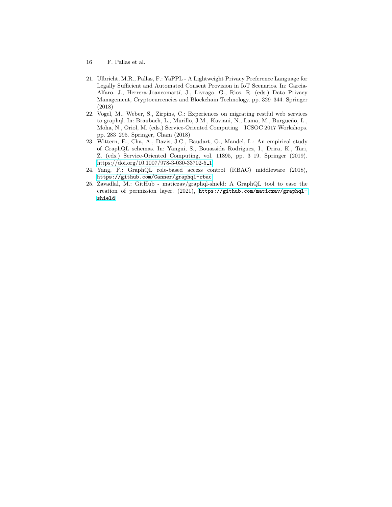- 16 F. Pallas et al.
- <span id="page-15-4"></span>21. Ulbricht, M.R., Pallas, F.: YaPPL - A Lightweight Privacy Preference Language for Legally Sufficient and Automated Consent Provision in IoT Scenarios. In: Garcia-Alfaro, J., Herrera-Joancomartí, J., Livraga, G., Rios, R. (eds.) Data Privacy Management, Cryptocurrencies and Blockchain Technology. pp. 329–344. Springer (2018)
- <span id="page-15-0"></span>22. Vogel, M., Weber, S., Zirpins, C.: Experiences on migrating restful web services to graphql. In: Braubach, L., Murillo, J.M., Kaviani, N., Lama, M., Burgueño, L., Moha, N., Oriol, M. (eds.) Service-Oriented Computing – ICSOC 2017 Workshops. pp. 283–295. Springer, Cham (2018)
- <span id="page-15-1"></span>23. Wittern, E., Cha, A., Davis, J.C., Baudart, G., Mandel, L.: An empirical study of GraphQL schemas. In: Yangui, S., Bouassida Rodriguez, I., Drira, K., Tari, Z. (eds.) Service-Oriented Computing, vol. 11895, pp. 3–19. Springer (2019). [https://doi.org/10.1007/978-3-030-33702-5](https://doi.org/10.1007/978-3-030-33702-5_1) 1
- <span id="page-15-3"></span>24. Yang, F.: GraphQL role-based access control (RBAC) middleware (2018), <https://github.com/Canner/graphql-rbac>
- <span id="page-15-2"></span>25. Zavadlal, M.: GitHub - maticzav/graphql-shield: A GraphQL tool to ease the creation of permission layer. (2021), [https://github.com/maticzav/graphql](https://github.com/maticzav/graphql-shield)[shield](https://github.com/maticzav/graphql-shield)